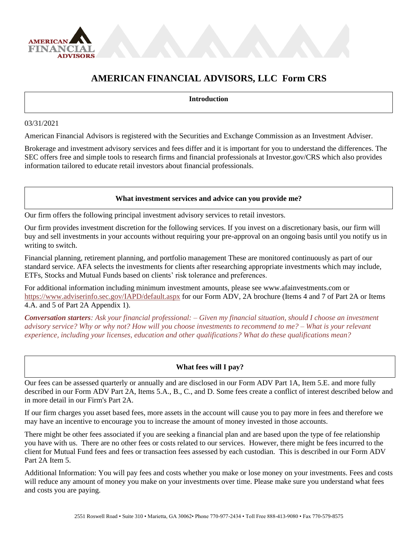

# **AMERICAN FINANCIAL ADVISORS, LLC Form CRS**

#### **Introduction**

#### 03/31/2021

American Financial Advisors is registered with the Securities and Exchange Commission as an Investment Adviser.

Brokerage and investment advisory services and fees differ and it is important for you to understand the differences. The SEC offers free and simple tools to research firms and financial professionals at Investor.gov/CRS which also provides information tailored to educate retail investors about financial professionals.

## **What investment services and advice can you provide me?**

Our firm offers the following principal investment advisory services to retail investors.

Our firm provides investment discretion for the following services. If you invest on a discretionary basis, our firm will buy and sell investments in your accounts without requiring your pre-approval on an ongoing basis until you notify us in writing to switch.

Financial planning, retirement planning, and portfolio management These are monitored continuously as part of our standard service. AFA selects the investments for clients after researching appropriate investments which may include, ETFs, Stocks and Mutual Funds based on clients' risk tolerance and preferences.

For additional information including minimum investment amounts, please see www.afainvestments.com or <https://www.adviserinfo.sec.gov/IAPD/default.aspx> for our Form ADV, 2A brochure (Items 4 and 7 of Part 2A or Items 4.A. and 5 of Part 2A Appendix 1).

*Conversation starters: Ask your financial professional: – Given my financial situation, should I choose an investment advisory service? Why or why not? How will you choose investments to recommend to me? – What is your relevant experience, including your licenses, education and other qualifications? What do these qualifications mean?*

## **What fees will I pay?**

Our fees can be assessed quarterly or annually and are disclosed in our Form ADV Part 1A, Item 5.E. and more fully described in our Form ADV Part 2A, Items 5.A., B., C., and D. Some fees create a conflict of interest described below and in more detail in our Firm's Part 2A.

If our firm charges you asset based fees, more assets in the account will cause you to pay more in fees and therefore we may have an incentive to encourage you to increase the amount of money invested in those accounts.

There might be other fees associated if you are seeking a financial plan and are based upon the type of fee relationship you have with us. There are no other fees or costs related to our services. However, there might be fees incurred to the client for Mutual Fund fees and fees or transaction fees assessed by each custodian. This is described in our Form ADV Part 2A Item 5.

Additional Information: You will pay fees and costs whether you make or lose money on your investments. Fees and costs will reduce any amount of money you make on your investments over time. Please make sure you understand what fees and costs you are paying.